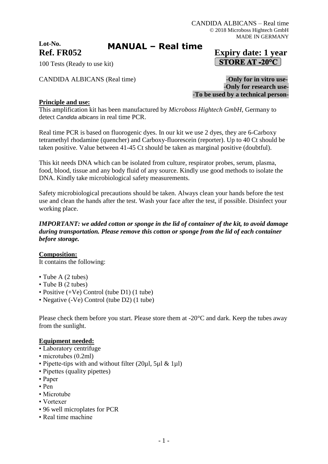**Lot-No.**

# **MANUAL – Real time**

## **Ref. FR052 Expiry date: 1 year STORE AT -20°C**

100 Tests (Ready to use kit)

CANDIDA ALBICANS (Real time) **-Only for in vitro use-**

-**Only for research use-** -**To be used by a technical person-**

### **Principle and use:**

This amplification kit has been manufactured by *Microboss Hightech GmbH*, Germany to detect *Candida albicans* in real time PCR.

Real time PCR is based on fluorogenic dyes. In our kit we use 2 dyes, they are 6-Carboxy tetramethyl rhodamine (quencher) and Carboxy-fluorescein (reporter). Up to 40 Ct should be taken positive. Value between 41-45 Ct should be taken as marginal positive (doubtful).

This kit needs DNA which can be isolated from culture, respirator probes, serum, plasma, food, blood, tissue and any body fluid of any source. Kindly use good methods to isolate the DNA. Kindly take microbiological safety measurements.

Safety microbiological precautions should be taken. Always clean your hands before the test use and clean the hands after the test. Wash your face after the test, if possible. Disinfect your working place.

### *IMPORTANT: we added cotton or sponge in the lid of container of the kit, to avoid damage during transportation. Please remove this cotton or sponge from the lid of each container before storage.*

### **Composition:**

It contains the following:

- Tube A (2 tubes)
- Tube B (2 tubes)
- Positive (+Ve) Control (tube D1) (1 tube)
- Negative (-Ve) Control (tube D2) (1 tube)

Please check them before you start. Please store them at -20°C and dark. Keep the tubes away from the sunlight.

### **Equipment needed:**

- Laboratory centrifuge
- microtubes (0.2ml)
- Pipette-tips with and without filter (20µl, 5µl & 1µl)
- Pipettes (quality pipettes)
- Paper
- Pen
- Microtube
- Vortexer
- 96 well microplates for PCR
- Real time machine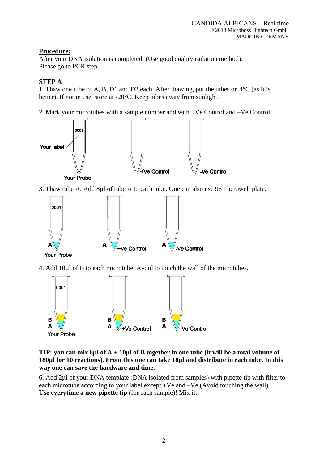### **Procedure:**

After your DNA isolation is completed. (Use good quality isolation method). Please go to PCR step

### **STEP A**

1. Thaw one tube of A, B, D1 and D2 each. After thawing, put the tubes on 4°C (as it is better). If not in use, store at -20°C. Keep tubes away from sunlight.

2. Mark your microtubes with a sample number and with +Ve Control and –Ve Control.



3. Thaw tube A. Add 8µl of tube A to each tube. One can also use 96 microwell plate.



- **Your Probe**
- 4. Add 10µl of B to each microtube. Avoid to touch the wall of the microtubes.



### **TIP: you can mix 8µl of A + 10µl of B together in one tube (it will be a total volume of 180µl for 10 reactions). From this one can take 18µl and distribute in each tube. In this way one can save the hardware and time.**

6. Add 2µl of your DNA template (DNA isolated from samples) with pipette tip with filter to each microtube according to your label except +Ve and –Ve (Avoid touching the wall). **Use everytime a new pipette tip** (for each sample)! Mix it.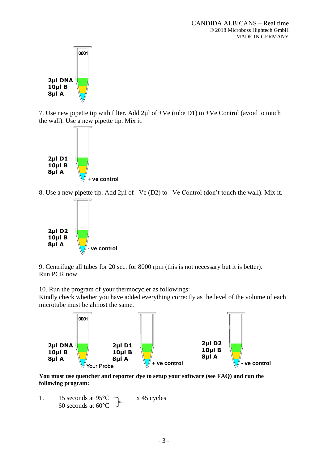

7. Use new pipette tip with filter. Add  $2\mu$ l of +Ve (tube D1) to +Ve Control (avoid to touch the wall). Use a new pipette tip. Mix it.



8. Use a new pipette tip. Add 2µl of –Ve (D2) to –Ve Control (don't touch the wall). Mix it.



9. Centrifuge all tubes for 20 sec. for 8000 rpm (this is not necessary but it is better). Run PCR now.

10. Run the program of your thermocycler as followings:

Kindly check whether you have added everything correctly as the level of the volume of each microtube must be almost the same.



**You must use quencher and reporter dye to setup your software (see FAQ) and run the following program:**

1. 15 seconds at  $95^{\circ}$ C  $\qquad \qquad$  x 45 cycles 60 seconds at  $60^{\circ}$ C –